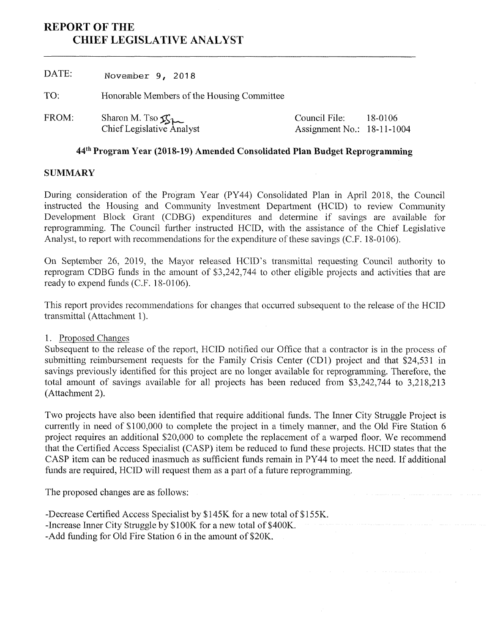# **REPORT OF THE CHIEF LEGISLATIVE ANALYST**

DATE: **November 9, 2018** TO: Honorable Members of the Housing Committee Sharon M. Tso ChiefLegislative Analyst FROM: Sharon M. Tso  $\mathfrak{C}_{1}$  (Council File: Assignment No.: 18-11-1004 18-0106

## **44th Program Year (2018-19) Amended Consolidated Plan Budget Reprogramming**

### **SUMMARY**

During consideration of the Program Year (PY44) Consolidated Plan in April 2018, the Council instructed the Housing and Community Investment Department (HCID) to review Community Development Block Grant (CDBG) expenditures and determine if savings are available for reprogramming. The Council further instructed HCID, with the assistance of the Chief Legislative Analyst, to report with recommendations for the expenditure of these savings (C.F. 18-0106).

On September 26, 2019, the Mayor released HCID's transmittal requesting Council authority to reprogram CDBG funds in the amount of \$3,242,744 to other eligible projects and activities that are ready to expend funds (C.F. 18-0106).

This report provides recommendations for changes that occurred subsequent to the release of the HCID transmittal (Attachment 1).

### 1. Proposed Changes

Subsequent to the release of the report, HCID notified our Office that a contractor is in the process of submitting reimbursement requests for the Family Crisis Center (CD1) project and that \$24,531 in savings previously identified for this project are no longer available for reprogramming. Therefore, the total amount of savings available for all projects has been reduced from \$3,242,744 to 3,218,213 (Attachment 2).

Two projects have also been identified that require additional funds. The Inner City Struggle Project is currently in need of \$100,000 to complete the project in a timely manner, and the Old Fire Station 6 project requires an additional \$20,000 to complete the replacement of a warped floor. We recommend that the Certified Access Specialist (CASP) item be reduced to fund these projects. HCID states that the CASP item can be reduced inasmuch as sufficient funds remain in PY44 to meet the need. If additional funds are required, HCID will request them as a part of a future reprogramming.

The proposed changes are as follows:

-Decrease Certified Access Specialist by \$145K for a new total of \$155K. -Increase Inner City Struggle by \$100K for a new total of \$400K. -Add funding for Old Fire Station 6 in the amount of \$20K.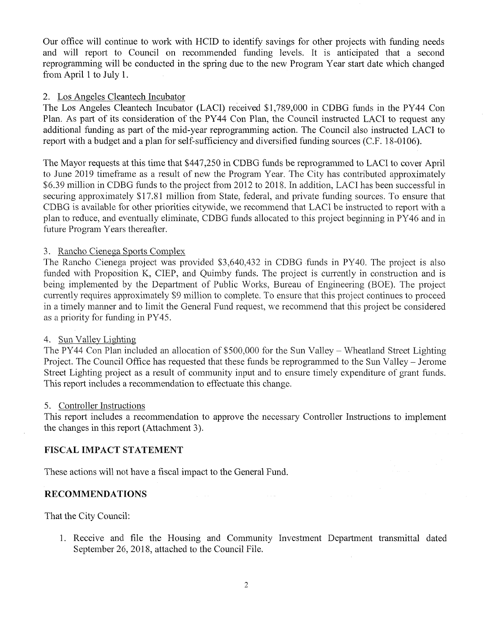Our office will continue to work with HCID to identify savings for other projects with funding needs and will report to Council on recommended funding levels. It is anticipated that a second reprogramming will be conducted in the spring due to the new Program Year start date which changed from April <sup>1</sup> to July 1.

#### 2. Los Angeles Cleantech Incubator

The Los Angeles Cleantech Incubator (LACI) received \$1,789,000 in CDBG funds in the PY44 Con Plan. As part of its consideration of the PY44 Con Plan, the Council instructed LACI to request any additional funding as part of the mid-year reprogramming action. The Council also instructed LACI to report with a budget and a plan for self-sufficiency and diversified funding sources (C.F. 18-0106).

The Mayor requests at this time that \$447,250 in CDBG funds be reprogrammed to LACI to cover April to June 2019 timeframe as a result of new the Program Year. The City has contributed approximately \$6.39 million in CDBG funds to the project from 2012 to 2018. In addition, LACI has been successful in securing approximately \$17.81 million from State, federal, and private funding sources. To ensure that CDBG is available for other priorities citywide, we recommend that LACI be instructed to report with a plan to reduce, and eventually eliminate, CDBG funds allocated to this project beginning in PY46 and in future Program Years thereafter.

#### 3- Rancho Cienega Sports Complex

The Rancho Cienega project was provided \$3,640,432 in CDBG funds in PY40. The project is also funded with Proposition K, CIEP, and Quimby funds. The project is currently in construction and is being implemented by the Department of Public Works, Bureau of Engineering (BOE). The project currently requires approximately \$9 million to complete. To ensure that this project continues to proceed in a timely manner and to limit the General Fund request, we recommend that this project be considered as a priority for funding in PY45.

#### 4. Sun Valiev Lighting

The PY44 Con Plan included an allocation of \$500,000 for the Sun Valley - Wheatland Street Lighting Project. The Council Office has requested that these funds be reprogrammed to the Sun Valley – Jerome Street Lighting project as a result of community input and to ensure timely expenditure of grant funds. This report includes a recommendation to effectuate this change.

#### 5. Controller Instructions

This report includes a recommendation to approve the necessary Controller Instructions to implement the changes in this report (Attachment 3).

#### **FISCAL IMPACT STATEMENT**

These actions will not have a fiscal impact to the General Fund.

### **RECOMMENDATIONS**

That the City Council:

1. Receive and file the Housing and Community Investment Department transmittal dated September 26, 2018, attached to the Council File.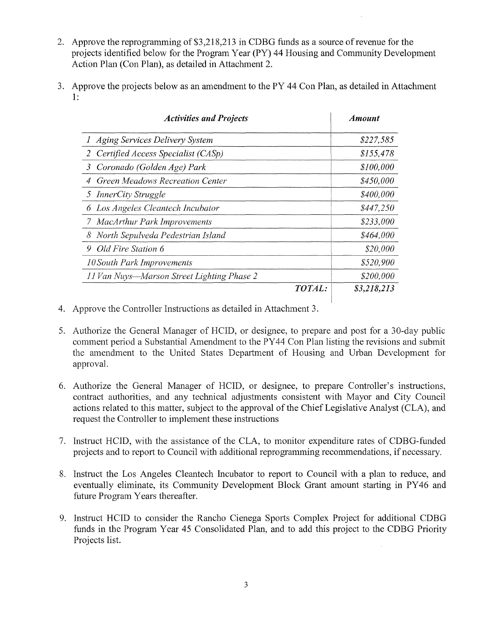- 2. Approve the reprogramming of \$3,218,213 in CDBG funds as a source ofrevenue for the projects identified below for the Program Year (PY) 44 Housing and Community Development Action Plan (Con Plan), as detailed in Attachment 2.
- 3. Approve the projects below as an amendment to the PY 44 Con Plan, as detailed in Attachment 1:

| <b>Activities and Projects</b>             | <b>Amount</b> |
|--------------------------------------------|---------------|
| Aging Services Delivery System<br>1        | \$227,585     |
| Certified Access Specialist (CASp)<br>2    | \$155,478     |
| Coronado (Golden Age) Park<br>3            | \$100,000     |
| Green Meadows Recreation Center<br>4       | \$450,000     |
| <i>InnerCity Struggle</i><br>5.            | \$400,000     |
| 6 Los Angeles Cleantech Incubator          | \$447,250     |
| 7 MacArthur Park Improvements              | \$233,000     |
| 8 North Sepulveda Pedestrian Island        | \$464,000     |
| Old Fire Station 6<br>9.                   | \$20,000      |
| 10 South Park Improvements                 | \$520,900     |
| 11 Van Nuys-Marson Street Lighting Phase 2 | \$200,000     |
| TOTAL:                                     | \$3,218,213   |

- *4.* Approve the Controller Instructions as detailed in Attachment 3.
- 5. Authorize the General Manager of HCID, or designee, to prepare and post for a 30-day public comment period a Substantial Amendment to the PY44 Con Plan listing the revisions and submit the amendment to the United States Department of Housing and Urban Development for approval.
- 6. Authorize the General Manager of HCID, or designee, to prepare Controller's instructions, contract authorities, and any technical adjustments consistent with Mayor and City Council actions related to this matter, subject to the approval of the Chief Legislative Analyst (CLA), and request the Controller to implement these instructions
- 7. Instruct HCID, with the assistance of the CLA, to monitor expenditure rates of CDBG-funded projects and to report to Council with additional reprogramming recommendations, if necessary.
- 8. Instruct the Los Angeles Cleantech Incubator to report to Council with a plan to reduce, and eventually eliminate, its Community Development Block Grant amount starting in PY46 and future Program Years thereafter.
- 9. Instruct HCID to consider the Rancho Cienega Sports Complex Project for additional CDBG funds in the Program Year 45 Consolidated Plan, and to add this project to the CDBG Priority Projects list.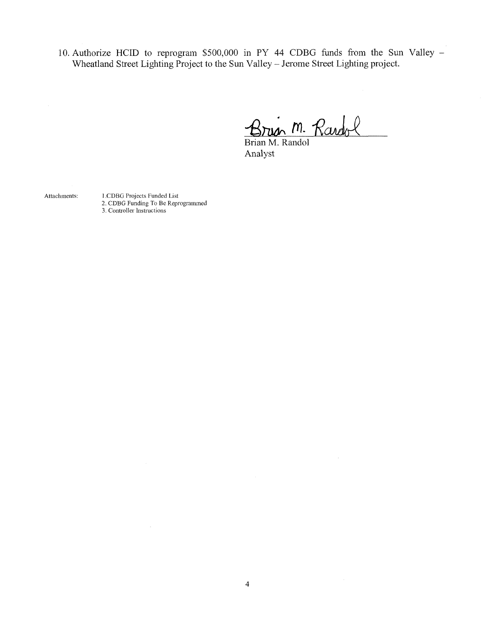10. Authorize HCID to reprogram \$500,000 in PY <sup>44</sup> CDBG funds from the Sun Valley - Wheatland Street Lighting Project to the Sun Valley -Jerome Street Lighting project.

**fll-** *'Rcud/Jl*

Brian M. Randol Analyst

Attachments:

<sup>1</sup> .CDBG Projects Funded List 2. CDBG Funding To Be Reprogrammed 3. Controller Instructions

 $\sim$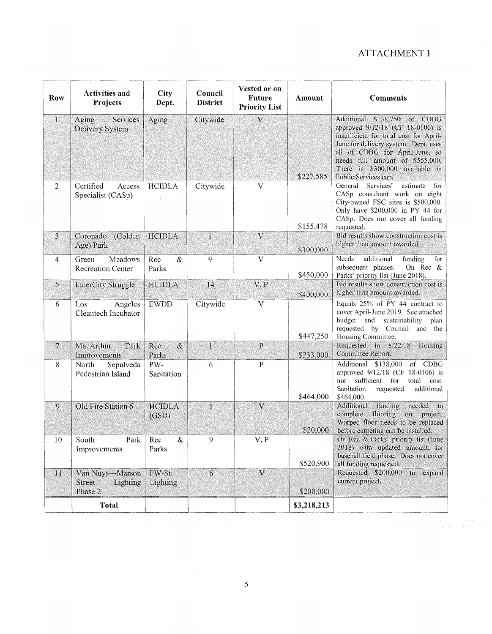# ATTACHMENT <sup>1</sup>

| Row            | <b>Activities and</b><br>Projects                       | <b>City</b><br>Dept.   | Council<br><b>District</b> | Vested or on<br><b>Future</b><br><b>Priority List</b> | Amount -    | <b>Comments</b>                                                                                                                                                                                                                                                                    |
|----------------|---------------------------------------------------------|------------------------|----------------------------|-------------------------------------------------------|-------------|------------------------------------------------------------------------------------------------------------------------------------------------------------------------------------------------------------------------------------------------------------------------------------|
| $\mathbf{1}$   | Aging<br>Services<br>Delivery System                    | Aging                  | Citywide                   | $\overline{\mathsf{V}}$                               | \$227,585   | Additional \$138,750 of CDBG<br>approved 9/12/18 (CF 18-0106) is<br>insufficient for total cost for April-<br>June for delivery system. Dept. uses<br>all of CDBG for April-June, so<br>needs full amount of \$555,000.<br>There is \$300,000 available in<br>Public Services cap. |
| $\overline{2}$ | Certified<br>Access<br>Specialist (CASp)                | <b>HCIDLA</b>          | Citywide                   | $\mathbf{V}$                                          | \$155,478   | General<br>Services'<br>estimate<br>for<br>CASp consultant work on eight<br>City-owned FSC sites is \$500,000.<br>Only have \$200,000 in PY 44 for<br>CASp. Does not cover all funding<br>requested.                                                                               |
| 3              | Coronado (Golden<br>Age) Park                           | <b>HCIDLA</b>          | $\mathbf{1}$               | $\mathbf{V}$                                          | \$100,000   | Bid results show construction cost is<br>higher than amount awarded.                                                                                                                                                                                                               |
| $\overline{4}$ | Meadows<br>Green<br><b>Recreation Center</b>            | $\&$<br>Rec<br>Parks   | $\mathbf Q$                | $\overline{V}$                                        | \$450,000   | additional<br>Needs<br>funding<br>for<br>subsequent phases.<br>On Rec &<br>Parks' priority list (June 2018).                                                                                                                                                                       |
| $\mathsf{S}$   | InnerCity Struggle                                      | <b>HCIDLA</b>          | 14                         | V, P                                                  | \$400,000   | Bid results show construction cost is<br>higher than amount awarded,                                                                                                                                                                                                               |
| 6              | Los<br>Angeles<br>Cleantech Incubator                   | <b>EWDD</b>            | Citywide                   | $\mathbf V$                                           | \$447,250   | Equals 25% of PY 44 contract to<br>cover April-June 2019. See attached<br>budget and sustainability plan<br>requested by Council and the<br>Housing Committee.                                                                                                                     |
|                | MacArthur<br>Park<br>Improvements                       | $\&$<br>Rec<br>Parks   | $\mathbf{1}$               | $\mathbf{P}$                                          | \$233,000   | Requested in 8/22/18<br>Housing<br>Committee Report.                                                                                                                                                                                                                               |
| 8              | North<br>Sepulveda<br>Pedestrian Island                 | PW-<br>Sanitation      | 6                          | $\mathbf{P}$                                          | \$464,000   | Additional \$138,000<br>of CDBG<br>approved 9/12/18 (CF 18-0106) is<br>sufficient for<br>total<br>not<br>cost.<br>Sanitation<br>additional<br>requested<br>\$464,000.                                                                                                              |
| 9              | Old Fire Station 6                                      | <b>HCIDLA</b><br>(GSD) | 1                          | $\overline{\mathsf{V}}$                               | \$20,000    | Additional<br>funding<br>needed<br>$\mathbf{t}$<br>complete flooring<br>on project.<br>Warped floor needs to be replaced<br>before carpeting can be installed.                                                                                                                     |
| 10             | South<br>Park<br>Improvements                           | Rec<br>&<br>Parks      | 9                          | V, P                                                  | \$520,900   | On Rec & Parks' priority list (June<br>2018) with updated amount, for<br>baseball field phase. Does not cover<br>all funding requested.                                                                                                                                            |
| $11\,$         | Van Nuys-Marson<br><b>Street</b><br>Lighting<br>Phase 2 | PW-St.<br>Lighting     | 6                          | $\mathbf{V}$                                          | \$200,000   | Requested \$200,000<br>$t_0$<br>expand<br>current project.                                                                                                                                                                                                                         |
|                | <b>Total</b>                                            |                        |                            |                                                       | \$3,218,213 |                                                                                                                                                                                                                                                                                    |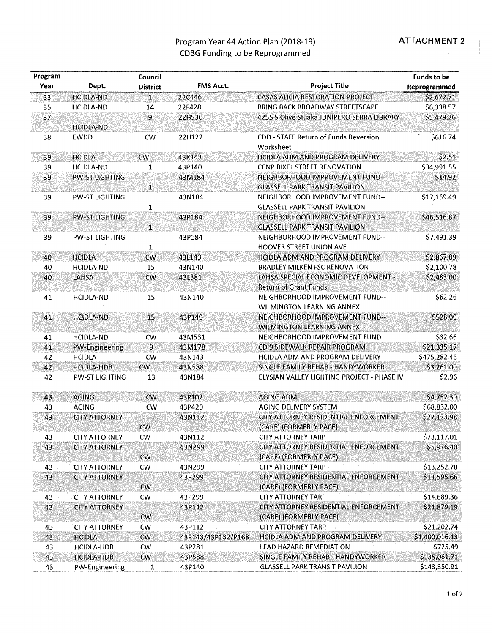## Program Year 44 Action Plan (2018-19) **ATTACHMENT 2** CDBG Funding to be Reprogrammed

| Program<br>Council |                       |                 |                    |                                                                          |                |
|--------------------|-----------------------|-----------------|--------------------|--------------------------------------------------------------------------|----------------|
| Year               | Dept.                 | <b>District</b> | <b>FMS Acct.</b>   | <b>Project Title</b>                                                     | Reprogrammed   |
| 33                 | <b>HCIDLA-ND</b>      | $\mathbf{1}$    | 22C446             | <b>CASAS ALICIA RESTORATION PROJECT</b>                                  | \$2,672.71     |
| 35                 | <b>HCIDLA-ND</b>      | 14              | 22F428             | BRING BACK BROADWAY STREETSCAPE                                          | \$6,338.57     |
| 37                 | <b>HCIDLA-ND</b>      | $\overline{9}$  | 22H530             | 4255 S Olive St. aka JUNIPERO SERRA LIBRARY                              | \$5,479.26     |
| 38                 | <b>EWDD</b>           | <b>CW</b>       | 22H122             | CDD - STAFF Return of Funds Reversion<br>Worksheet                       | \$616.74       |
| 39                 | <b>HCIDLA</b>         | <b>CW</b>       | 43K143             | HCIDLA ADM AND PROGRAM DELIVERY                                          | \$2.51         |
| 39                 | <b>HCIDLA-ND</b>      | 1               | 43P140             | <b>CCNP BIXEL STREET RENOVATION</b>                                      | \$34,991.55    |
| 39                 | <b>PW-ST LIGHTING</b> |                 | 43M184             | NEIGHBORHOOD IMPROVEMENT FUND--                                          | \$14.92        |
|                    |                       | $\mathbf{1}$    |                    | <b>GLASSELL PARK TRANSIT PAVILION</b>                                    |                |
| 39                 | PW-ST LIGHTING        | 1               | 43N184             | NEIGHBORHOOD IMPROVEMENT FUND--<br><b>GLASSELL PARK TRANSIT PAVILION</b> | \$17,169.49    |
| 39                 | <b>PW-ST LIGHTING</b> |                 | 43P184             | NEIGHBORHOOD IMPROVEMENT FUND--                                          | \$46,516.87    |
|                    |                       | $\mathbf{1}$    |                    | <b>GLASSELL PARK TRANSIT PAVILION</b>                                    |                |
| 39                 | <b>PW-ST LIGHTING</b> | 1               | 43P184             | NEIGHBORHOOD IMPROVEMENT FUND--<br>HOOVER STREET UNION AVE               | \$7,491.39     |
| 40                 | <b>HCIDLA</b>         | $\mathsf{cw}$   | 43L143             | HCIDLA ADM AND PROGRAM DELIVERY                                          | \$2,867.89     |
| 40                 | <b>HCIDLA-ND</b>      | 15              | 43N140             | <b>BRADLEY MILKEN FSC RENOVATION</b>                                     | \$2,100.78     |
| 40                 | LAHSA                 | CW              | 43L381             | LAHSA SPECIAL ECONOMIC DEVELOPMENT -<br><b>Return of Grant Funds</b>     | \$2,483.00     |
| 41                 | <b>HCIDLA-ND</b>      | 15              | 43N140             | NEIGHBORHOOD IMPROVEMENT FUND--<br><b>WILMINGTON LEARNING ANNEX</b>      | \$62.26        |
| 41                 | <b>HCIDLA-ND</b>      | 15              | 43P140             | NEIGHBORHOOD IMPROVEMENT FUND--<br><b>WILMINGTON LEARNING ANNEX</b>      | \$528.00       |
| 41                 | <b>HCIDLA-ND</b>      | CW.             | 43M531             | NEIGHBORHOOD IMPROVEMENT FUND                                            | \$32.66        |
| 41                 | <b>PW-Engineering</b> | 9               | 43M178             | CD 9 SIDEWALK REPAIR PROGRAM                                             | \$21,335.17    |
| 42                 | <b>HCIDLA</b>         | CW              | 43N143             | HCIDLA ADM AND PROGRAM DELIVERY                                          | \$475,282.46   |
| 42                 | <b>HCIDLA-HDB</b>     | $\mathsf{cw}$   | 43N588             | SINGLE FAMILY REHAB - HANDYWORKER                                        | \$3,261.00     |
| 42                 | <b>PW-ST LIGHTING</b> | 13              | 43N184             | ELYSIAN VALLEY LIGHTING PROJECT - PHASE IV                               | \$2.96         |
| 43                 | <b>AGING</b>          | CW              | 43P102             | <b>AGING ADM</b>                                                         | \$4,752.30     |
| 43                 | <b>AGING</b>          | <b>CW</b>       | 43P420             | AGING DELIVERY SYSTEM                                                    | \$68,832.00    |
| 43                 | <b>CITY ATTORNEY</b>  |                 | 43N112             | CITY ATTORNEY RESIDENTIAL ENFORCEMENT                                    | \$27,173.98    |
|                    |                       | CW              |                    | (CARE) (FORMERLY PACE)                                                   |                |
| 43                 | <b>CITY ATTORNEY</b>  | <b>CW</b>       | 43N112             | <b>CITY ATTORNEY TARP</b>                                                | \$73,117.01    |
| 43                 | <b>CITY ATTORNEY</b>  |                 | 43N299             | CITY ATTORNEY RESIDENTIAL ENFORCEMENT                                    | \$5,976.40     |
|                    |                       | <b>CW</b>       |                    | (CARE) (FORMERLY PACE)                                                   |                |
| 43                 | <b>CITY ATTORNEY</b>  | <b>CW</b>       | 43N299             | <b>CITY ATTORNEY TARP</b>                                                | \$13,252.70    |
| 43                 | <b>CITY ATTORNEY</b>  | <b>CW</b>       | 43P299             | CITY ATTORNEY RESIDENTIAL ENFORCEMENT<br>(CARE) (FORMERLY PACE)          | \$11,595.66    |
| 43                 | <b>CITY ATTORNEY</b>  | <b>CW</b>       | 43P299             | <b>CITY ATTORNEY TARP</b>                                                | \$14,689.36    |
| 43                 | <b>CITY ATTORNEY</b>  |                 | 43P112             | CITY ATTORNEY RESIDENTIAL ENFORCEMENT                                    | \$21,879.19    |
|                    |                       | <b>CW</b>       |                    | (CARE) (FORMERLY PACE)                                                   |                |
| 43                 | <b>CITY ATTORNEY</b>  | <b>CW</b>       | 43P112             | <b>CITY ATTORNEY TARP</b>                                                | \$21,202.74    |
| 43                 | <b>HCIDLA</b>         | $\mathsf{cw}$   | 43P143/43P132/P168 | HCIDLA ADM AND PROGRAM DELIVERY                                          | \$1,400,016.13 |
| 43                 | <b>HCIDLA-HDB</b>     | <b>CW</b>       | 43P281             | LEAD HAZARD REMEDIATION                                                  | \$725.49       |
| 43                 | <b>HCIDLA-HDB</b>     | <b>CW</b>       | 43P588             | SINGLE FAMILY REHAB - HANDYWORKER                                        | \$135,061.71   |
| 43                 | PW-Engineering        | 1               | 43P140             | <b>GLASSELL PARK TRANSIT PAVILION</b>                                    | \$143,350.91   |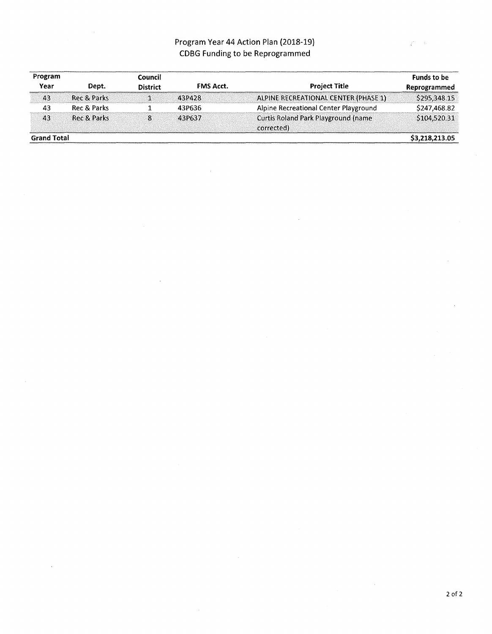# Program Year 44 Action Plan (2018-19) CDBG Funding to be Reprogrammed

| Program            |             | <b>Council</b>  |                  |                                                           | <b>Funds to be</b> |
|--------------------|-------------|-----------------|------------------|-----------------------------------------------------------|--------------------|
| Year               | Dept.       | <b>District</b> | <b>FMS Acct.</b> | <b>Project Title</b>                                      | Reprogrammed       |
| 43                 | Rec & Parks |                 | 43P428           | ALPINE RECREATIONAL CENTER (PHASE 1)                      | \$295,348.15       |
| 43                 | Rec & Parks |                 | 43P636           | Alpine Recreational Center Playground                     | \$247,468.82       |
| 43                 | Rec & Parks | 8.              | 43P637           | <b>Curtis Roland Park Playground (name)</b><br>corrected) | \$104,520.31       |
| <b>Grand Total</b> |             |                 |                  |                                                           | \$3,218,213.05     |

 $\mathcal{E}^{\mathcal{E}} = \mathcal{E}$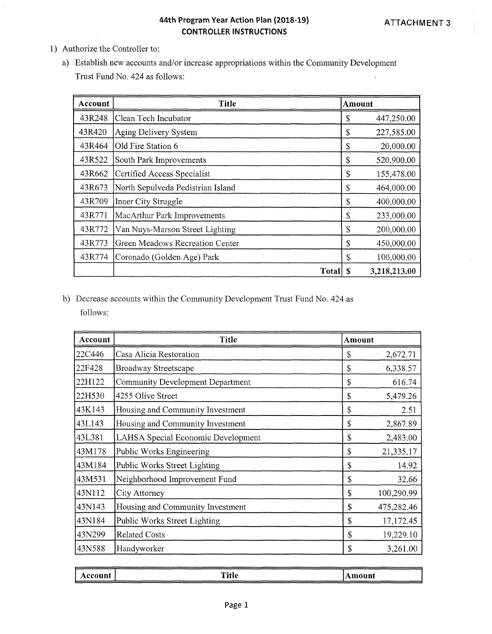#### **44th Program Year Action Plan (2018-19) CONTROLLER INSTRUCTIONS**

- 1) Authorize the Controller to:
	- a) Establish new accounts and/or increase appropriations within the Community Development Trust Fund No. 424 as follows:

| Account | <b>Title</b>                      | Amount |              |
|---------|-----------------------------------|--------|--------------|
| 43R248  | Clean Tech Incubator              | \$     | 447,250.00   |
| 43R420  | Aging Delivery System             | \$     | 227,585.00   |
| 43R464  | Old Fire Station 6                | \$     | 20,000.00    |
| 43R522  | South Park Improvements           | \$     | 520,900.00   |
| 43R662  | Certified Access Specialist       | S      | 155,478.00   |
| 43R673  | North Sepulveda Pedistrian Island | \$     | 464,000.00   |
| 43R709  | Inner City Struggle               | \$     | 400,000.00   |
| 43R771  | MacArthur Park Improvements       | \$     | 233,000.00   |
| 43R772  | Van Nuys-Marson Street Lighting   | \$     | 200,000.00   |
| 43R773  | Green Meadows Recreation Center   | \$     | 450,000.00   |
| 43R774  | Coronado (Golden Age) Park        | \$     | 100,000.00   |
|         | <b>Total</b>                      | S      | 3,218,213.00 |

b) Decrease accounts within the Community Development Trust Fund No. 424 as follows:

| Account | <b>Title</b>                              | Amount       |            |
|---------|-------------------------------------------|--------------|------------|
| 22C446  | Casa Alicia Restoration                   | \$           | 2,672.71   |
| 22F428  | <b>Broadway Streetscape</b>               | \$           | 6,338.57   |
| 22H122  | <b>Community Development Department</b>   | \$           | 616.74     |
| 22H530  | 4255 Olive Street                         | \$           | 5,479.26   |
| 43K143  | Housing and Community Investment          | \$           | 2.51       |
| 43L143  | Housing and Community Investment          | \$           | 2,867.89   |
| 43L381  | <b>LAHSA Special Economic Development</b> | \$           | 2,483.00   |
| 43M178  | Public Works Engineering                  | \$           | 21,335.17  |
| 43M184  | Public Works Street Lighting              | \$           | 14.92      |
| 43M531  | Neighborhood Improvement Fund             | \$           | 32.66      |
| 43N112  | City Attorney                             | $\mathbf S$  | 100,290.99 |
| 43N143  | Housing and Community Investment          | $\mathbb{S}$ | 475,282.46 |
| 43N184  | Public Works Street Lighting              | \$           | 17,172.45  |
| 43N299  | <b>Related Costs</b>                      | \$           | 19,229.10  |
| 43N588  | Handyworker                               | S            | 3,261.00   |

| Account | <b>Title</b> | Amount |
|---------|--------------|--------|
|         |              |        |